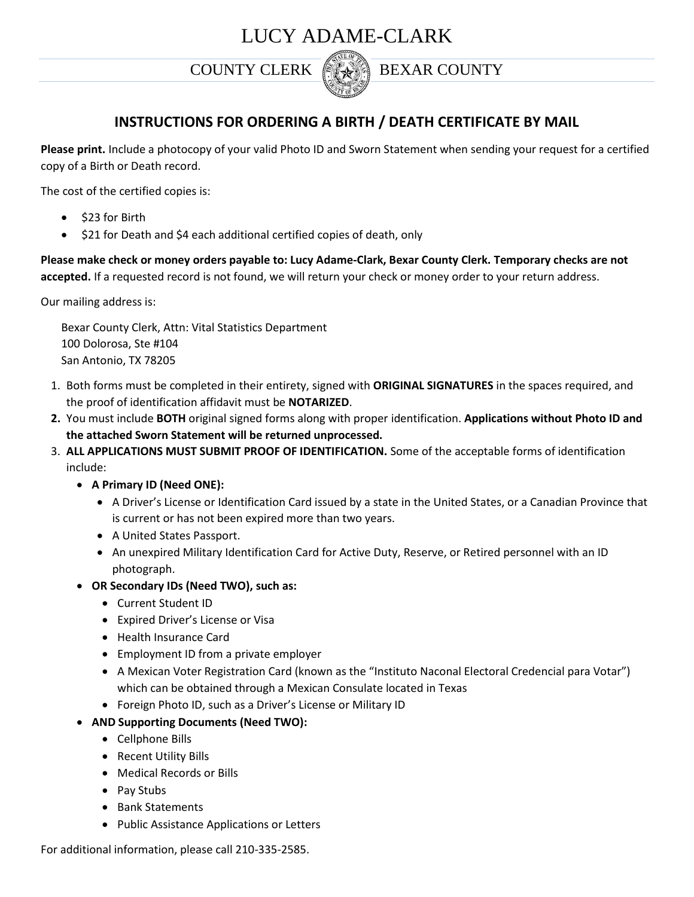# LUCY ADAME-CLARK



## COUNTY CLERK **BEXAR COUNTY**

## **INSTRUCTIONS FOR ORDERING A BIRTH / DEATH CERTIFICATE BY MAIL**

**Please print.** Include a photocopy of your valid Photo ID and Sworn Statement when sending your request for a certified copy of a Birth or Death record.

The cost of the certified copies is:

- $\bullet$  \$23 for Birth
- \$21 for Death and \$4 each additional certified copies of death, only

**Please make check or money orders payable to: Lucy Adame-Clark, Bexar County Clerk. Temporary checks are not accepted.** If a requested record is not found, we will return your check or money order to your return address.

Our mailing address is:

Bexar County Clerk, Attn: Vital Statistics Department 100 Dolorosa, Ste #104 San Antonio, TX 78205

- 1. Both forms must be completed in their entirety, signed with **ORIGINAL SIGNATURES** in the spaces required, and the proof of identification affidavit must be **NOTARIZED**.
- **2.** You must include **BOTH** original signed forms along with proper identification. **Applications without Photo ID and the attached Sworn Statement will be returned unprocessed.**
- 3. **ALL APPLICATIONS MUST SUBMIT PROOF OF IDENTIFICATION.** Some of the acceptable forms of identification include:
	- **A Primary ID (Need ONE):**
		- A Driver's License or Identification Card issued by a state in the United States, or a Canadian Province that is current or has not been expired more than two years.
		- A United States Passport.
		- An unexpired Military Identification Card for Active Duty, Reserve, or Retired personnel with an ID photograph.
	- **OR Secondary IDs (Need TWO), such as:**
		- Current Student ID
		- Expired Driver's License or Visa
		- Health Insurance Card
		- Employment ID from a private employer
		- A Mexican Voter Registration Card (known as the "Instituto Naconal Electoral Credencial para Votar") which can be obtained through a Mexican Consulate located in Texas
		- Foreign Photo ID, such as a Driver's License or Military ID
	- **AND Supporting Documents (Need TWO):**
		- Cellphone Bills
		- Recent Utility Bills
		- Medical Records or Bills
		- Pay Stubs
		- Bank Statements
		- Public Assistance Applications or Letters

For additional information, please call 210-335-2585.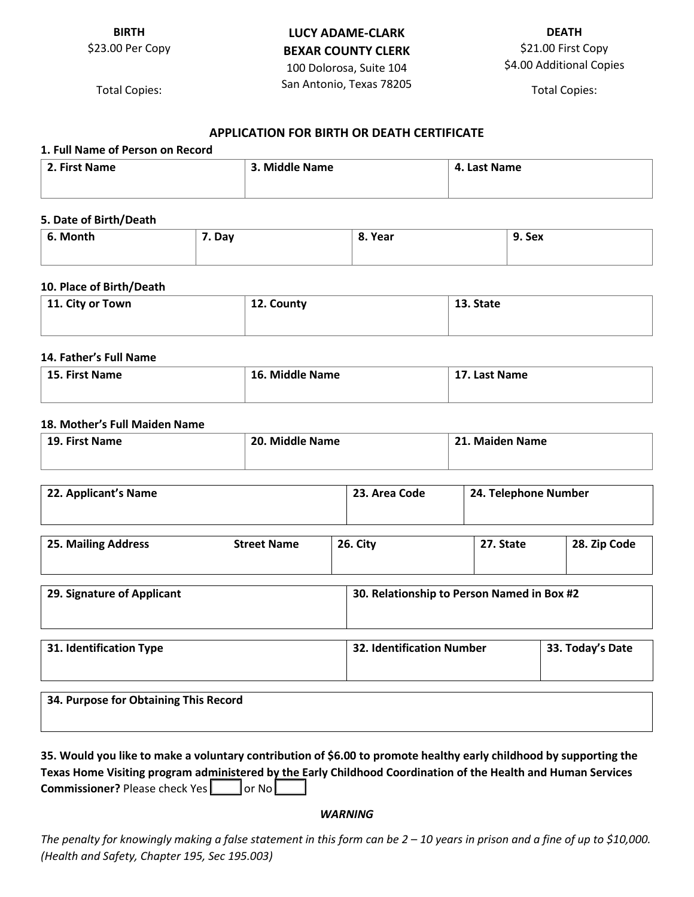### **BIRTH** \$23.00 Per Copy

## **LUCY ADAME-CLARK BEXAR COUNTY CLERK** 100 Dolorosa, Suite 104

San Antonio, Texas 78205 \$21.00 First Copy \$4.00 Additional Copies

Total Copies:

## Total Copies:

**DEATH**

#### **APPLICATION FOR BIRTH OR DEATH CERTIFICATE**

| 1. Full Name of Person on Record |                |              |
|----------------------------------|----------------|--------------|
| 2. First Name                    | 3. Middle Name | 4. Last Name |
|                                  |                |              |

#### **5. Date of Birth/Death**

| 6. Month | . Day | 8. Year | 9. Sex |
|----------|-------|---------|--------|
|          |       |         |        |

#### **10. Place of Birth/Death**

| $\perp$ 11. City or Town | 12. County | 13. State |
|--------------------------|------------|-----------|
|                          |            |           |

#### **14. Father's Full Name**

| $\pm$ 15. First Name | 16. Middle Name | 17. Last Name |
|----------------------|-----------------|---------------|
|                      |                 |               |

#### **18. Mother's Full Maiden Name**

| 19. First Name | 20. Middle Name | 21. Maiden Name |
|----------------|-----------------|-----------------|
|                |                 |                 |

| 22. Applicant's Name |                | 23. Area Code | 24. Telephone Number |                   |
|----------------------|----------------|---------------|----------------------|-------------------|
| $2F - R = 11.4 - R$  | Channel Massen | 20.01         | $27$ $C++$           | 20.7 <sub>1</sub> |

| 25. Mailing Address | <b>Street Name</b> | 26. City | 27. State | 28. Zip Code |
|---------------------|--------------------|----------|-----------|--------------|
|                     |                    |          |           |              |
|                     |                    |          |           |              |

| 29. Signature of Applicant            | 30. Relationship to Person Named in Box #2 |                  |
|---------------------------------------|--------------------------------------------|------------------|
| 31. Identification Type               | <b>32. Identification Number</b>           | 33. Today's Date |
| 34. Purpose for Obtaining This Record |                                            |                  |

| 35. Would you like to make a voluntary contribution of \$6.00 to promote healthy early childhood by supporting the |
|--------------------------------------------------------------------------------------------------------------------|
| Texas Home Visiting program administered by the Early Childhood Coordination of the Health and Human Services      |
| <b>Commissioner?</b> Please check Yes or No                                                                        |

#### *WARNING*

The penalty for knowingly making a false statement in this form can be 2 – 10 years in prison and a fine of up to \$10,000. *(Health and Safety, Chapter 195, Sec 195.003)*